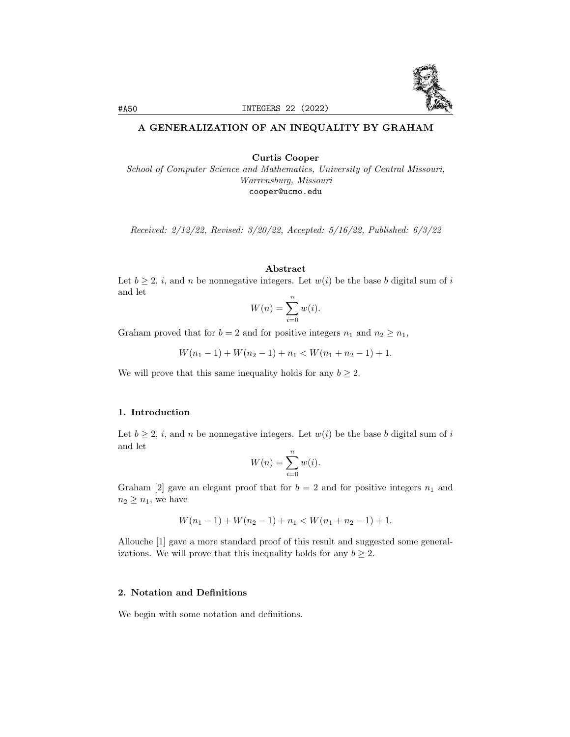

# A GENERALIZATION OF AN INEQUALITY BY GRAHAM

Curtis Cooper

School of Computer Science and Mathematics, University of Central Missouri, Warrensburg, Missouri cooper@ucmo.edu

Received: 2/12/22, Revised: 3/20/22, Accepted: 5/16/22, Published: 6/3/22

#### Abstract

Let  $b \geq 2$ , *i*, and *n* be nonnegative integers. Let  $w(i)$  be the base *b* digital sum of *i* and let

$$
W(n) = \sum_{i=0}^{n} w(i).
$$

Graham proved that for  $b = 2$  and for positive integers  $n_1$  and  $n_2 \geq n_1$ ,

$$
W(n_1 - 1) + W(n_2 - 1) + n_1 < W(n_1 + n_2 - 1) + 1.
$$

We will prove that this same inequality holds for any  $b \geq 2$ .

#### 1. Introduction

Let  $b \geq 2$ , i, and n be nonnegative integers. Let  $w(i)$  be the base b digital sum of i and let

$$
W(n) = \sum_{i=0}^{n} w(i).
$$

Graham [2] gave an elegant proof that for  $b = 2$  and for positive integers  $n_1$  and  $n_2 \geq n_1$ , we have

$$
W(n_1 - 1) + W(n_2 - 1) + n_1 < W(n_1 + n_2 - 1) + 1.
$$

Allouche [1] gave a more standard proof of this result and suggested some generalizations. We will prove that this inequality holds for any  $b \geq 2$ .

## 2. Notation and Definitions

We begin with some notation and definitions.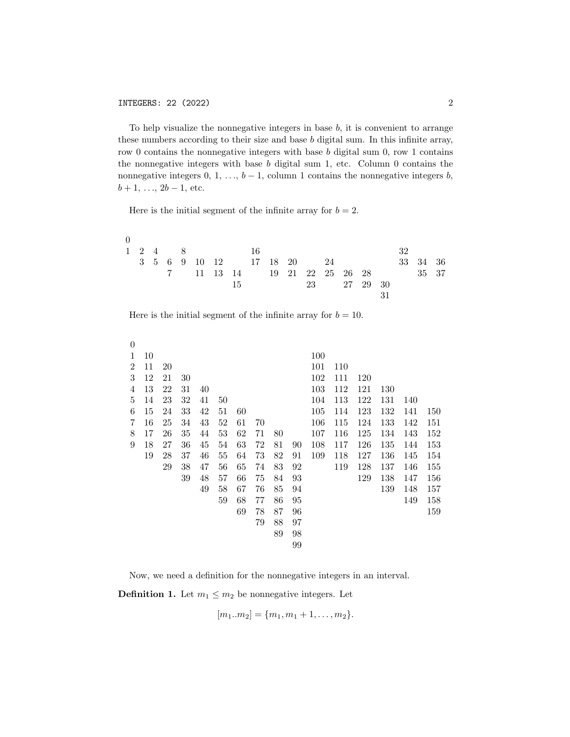To help visualize the nonnegative integers in base  $b$ , it is convenient to arrange these numbers according to their size and base b digital sum. In this infinite array, row 0 contains the nonnegative integers with base  $b$  digital sum 0, row 1 contains the nonnegative integers with base  $b$  digital sum 1, etc. Column  $0$  contains the nonnegative integers  $0, 1, \ldots, b-1$ , column 1 contains the nonnegative integers  $b$ ,  $b + 1, \ldots, 2b - 1$ , etc.

Here is the initial segment of the infinite array for  $b = 2$ .

| $\Omega$ |  |  |  |                      |  |  |  |             |    |                                    |  |
|----------|--|--|--|----------------------|--|--|--|-------------|----|------------------------------------|--|
|          |  |  |  | $1 \t2 \t4 \t8 \t16$ |  |  |  |             | 32 |                                    |  |
|          |  |  |  |                      |  |  |  |             |    | 3 5 6 9 10 12 17 18 20 24 33 34 36 |  |
|          |  |  |  |                      |  |  |  |             |    | 7 11 13 14 19 21 22 25 26 28 35 37 |  |
|          |  |  |  | 15                   |  |  |  | 23 27 29 30 |    |                                    |  |
|          |  |  |  |                      |  |  |  |             |    |                                    |  |

Here is the initial segment of the infinite array for  $b = 10$ .

| $\overline{0}$ |    |    |    |    |    |    |    |    |    |     |     |     |     |     |     |
|----------------|----|----|----|----|----|----|----|----|----|-----|-----|-----|-----|-----|-----|
| 1              | 10 |    |    |    |    |    |    |    |    | 100 |     |     |     |     |     |
| 2              | 11 | 20 |    |    |    |    |    |    |    | 101 | 110 |     |     |     |     |
| 3              | 12 | 21 | 30 |    |    |    |    |    |    | 102 | 111 | 120 |     |     |     |
| 4              | 13 | 22 | 31 | 40 |    |    |    |    |    | 103 | 112 | 121 | 130 |     |     |
| 5              | 14 | 23 | 32 | 41 | 50 |    |    |    |    | 104 | 113 | 122 | 131 | 140 |     |
| 6              | 15 | 24 | 33 | 42 | 51 | 60 |    |    |    | 105 | 114 | 123 | 132 | 141 | 150 |
| 7              | 16 | 25 | 34 | 43 | 52 | 61 | 70 |    |    | 106 | 115 | 124 | 133 | 142 | 151 |
| 8              | 17 | 26 | 35 | 44 | 53 | 62 | 71 | 80 |    | 107 | 116 | 125 | 134 | 143 | 152 |
| 9              | 18 | 27 | 36 | 45 | 54 | 63 | 72 | 81 | 90 | 108 | 117 | 126 | 135 | 144 | 153 |
|                | 19 | 28 | 37 | 46 | 55 | 64 | 73 | 82 | 91 | 109 | 118 | 127 | 136 | 145 | 154 |
|                |    | 29 | 38 | 47 | 56 | 65 | 74 | 83 | 92 |     | 119 | 128 | 137 | 146 | 155 |
|                |    |    | 39 | 48 | 57 | 66 | 75 | 84 | 93 |     |     | 129 | 138 | 147 | 156 |
|                |    |    |    | 49 | 58 | 67 | 76 | 85 | 94 |     |     |     | 139 | 148 | 157 |
|                |    |    |    |    | 59 | 68 | 77 | 86 | 95 |     |     |     |     | 149 | 158 |
|                |    |    |    |    |    | 69 | 78 | 87 | 96 |     |     |     |     |     | 159 |
|                |    |    |    |    |    |    | 79 | 88 | 97 |     |     |     |     |     |     |
|                |    |    |    |    |    |    |    | 89 | 98 |     |     |     |     |     |     |
|                |    |    |    |    |    |    |    |    | 99 |     |     |     |     |     |     |

Now, we need a definition for the nonnegative integers in an interval.

**Definition 1.** Let  $m_1 \leq m_2$  be nonnegative integers. Let

$$
[m_1..m_2] = \{m_1, m_1+1, \ldots, m_2\}.
$$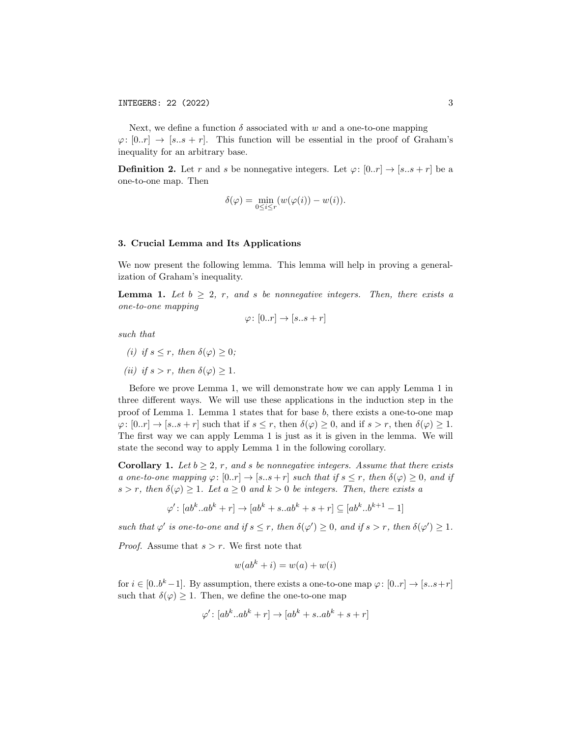Next, we define a function  $\delta$  associated with w and a one-to-one mapping  $\varphi: [0..r] \to [s..s + r]$ . This function will be essential in the proof of Graham's inequality for an arbitrary base.

**Definition 2.** Let r and s be nonnegative integers. Let  $\varphi: [0..r] \to [s..s+r]$  be a one-to-one map. Then

$$
\delta(\varphi) = \min_{0 \leq i \leq r} (w(\varphi(i)) - w(i)).
$$

### 3. Crucial Lemma and Its Applications

We now present the following lemma. This lemma will help in proving a generalization of Graham's inequality.

**Lemma 1.** Let  $b \geq 2$ , r, and s be nonnegative integers. Then, there exists a one-to-one mapping

$$
\varphi\colon [0..r]\to [s..s+r]
$$

such that

- (i) if  $s \leq r$ , then  $\delta(\varphi) \geq 0$ ;
- (ii) if  $s > r$ , then  $\delta(\varphi) > 1$ .

Before we prove Lemma 1, we will demonstrate how we can apply Lemma 1 in three different ways. We will use these applications in the induction step in the proof of Lemma 1. Lemma 1 states that for base  $b$ , there exists a one-to-one map  $\varphi: [0..r] \to [s..s+r]$  such that if  $s \leq r$ , then  $\delta(\varphi) \geq 0$ , and if  $s > r$ , then  $\delta(\varphi) \geq 1$ . The first way we can apply Lemma 1 is just as it is given in the lemma. We will state the second way to apply Lemma 1 in the following corollary.

**Corollary 1.** Let  $b \geq 2$ , r, and s be nonnegative integers. Assume that there exists a one-to-one mapping  $\varphi: [0..r] \to [s..s+r]$  such that if  $s \leq r$ , then  $\delta(\varphi) \geq 0$ , and if  $s > r$ , then  $\delta(\varphi) \geq 1$ . Let  $a \geq 0$  and  $k > 0$  be integers. Then, there exists a

$$
\varphi' : [ab^k \cdot ab^k + r] \to [ab^k + s \cdot ab^k + s + r] \subseteq [ab^k \cdot b^{k+1} - 1]
$$

such that  $\varphi'$  is one-to-one and if  $s \leq r$ , then  $\delta(\varphi') \geq 0$ , and if  $s > r$ , then  $\delta(\varphi') \geq 1$ .

*Proof.* Assume that  $s > r$ . We first note that

$$
w(ab^k + i) = w(a) + w(i)
$$

for  $i \in [0..b^k-1]$ . By assumption, there exists a one-to-one map  $\varphi: [0..r] \to [s..s+r]$ such that  $\delta(\varphi) \geq 1$ . Then, we define the one-to-one map

$$
\varphi' \colon [ab^k..ab^k+r] \to [ab^k+s..ab^k+s+r]
$$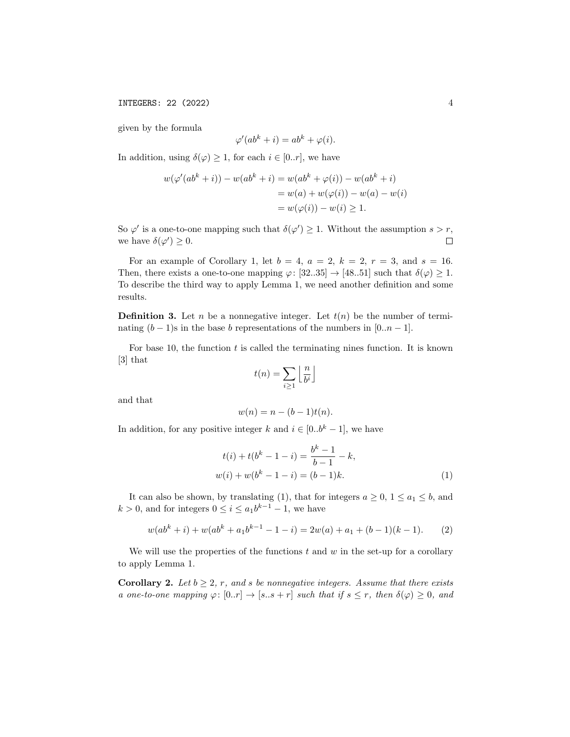given by the formula

$$
\varphi'(ab^k + i) = ab^k + \varphi(i).
$$

In addition, using  $\delta(\varphi) \geq 1$ , for each  $i \in [0..r]$ , we have

$$
w(\varphi'(ab^k + i)) - w(ab^k + i) = w(ab^k + \varphi(i)) - w(ab^k + i)
$$
  
=  $w(a) + w(\varphi(i)) - w(a) - w(i)$   
=  $w(\varphi(i)) - w(i) \ge 1$ .

So  $\varphi'$  is a one-to-one mapping such that  $\delta(\varphi') \geq 1$ . Without the assumption  $s > r$ , we have  $\delta(\varphi') \geq 0$ .  $\Box$ 

For an example of Corollary 1, let  $b = 4$ ,  $a = 2$ ,  $k = 2$ ,  $r = 3$ , and  $s = 16$ . Then, there exists a one-to-one mapping  $\varphi: [32..35] \to [48..51]$  such that  $\delta(\varphi) \geq 1$ . To describe the third way to apply Lemma 1, we need another definition and some results.

**Definition 3.** Let n be a nonnegative integer. Let  $t(n)$  be the number of terminating  $(b-1)$ s in the base b representations of the numbers in [0..*n* − 1].

For base 10, the function  $t$  is called the terminating nines function. It is known [3] that

$$
t(n) = \sum_{i \ge 1} \left\lfloor \frac{n}{b^i} \right\rfloor
$$

and that

$$
w(n) = n - (b - 1)t(n).
$$

In addition, for any positive integer k and  $i \in [0..b^k-1]$ , we have

$$
t(i) + t(bk - 1 - i) = \frac{bk - 1}{b - 1} - k,
$$
  

$$
w(i) + w(bk - 1 - i) = (b - 1)k.
$$
 (1)

It can also be shown, by translating (1), that for integers  $a \geq 0$ ,  $1 \leq a_1 \leq b$ , and  $k > 0$ , and for integers  $0 \leq i \leq a_1 b^{k-1} - 1$ , we have

$$
w(abk + i) + w(abk + a1bk-1 - 1 - i) = 2w(a) + a1 + (b - 1)(k - 1).
$$
 (2)

We will use the properties of the functions  $t$  and  $w$  in the set-up for a corollary to apply Lemma 1.

**Corollary 2.** Let  $b \geq 2$ , r, and s be nonnegative integers. Assume that there exists a one-to-one mapping  $\varphi: [0..r] \to [s..s+r]$  such that if  $s \leq r$ , then  $\delta(\varphi) \geq 0$ , and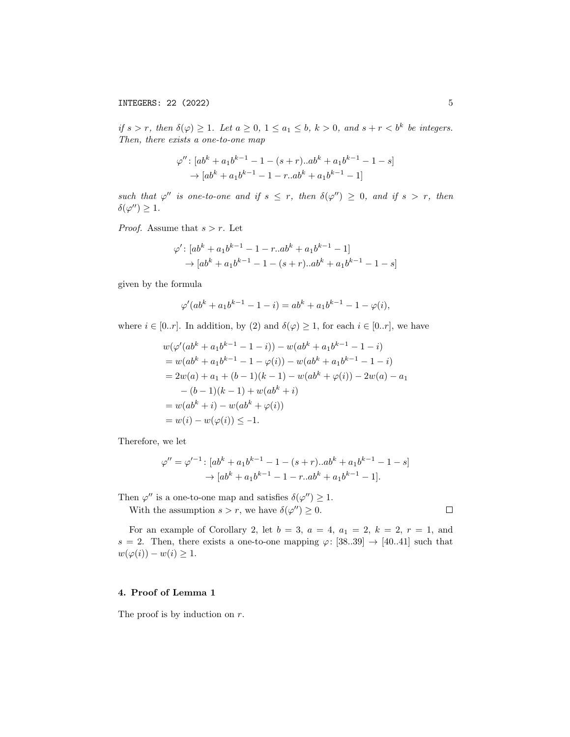if  $s > r$ , then  $\delta(\varphi) \geq 1$ . Let  $a \geq 0$ ,  $1 \leq a_1 \leq b$ ,  $k > 0$ , and  $s + r < b^k$  be integers. Then, there exists a one-to-one map

$$
\varphi'' : [ab^{k} + a_{1}b^{k-1} - 1 - (s + r)...ab^{k} + a_{1}b^{k-1} - 1 - s] \rightarrow [ab^{k} + a_{1}b^{k-1} - 1 - r...ab^{k} + a_{1}b^{k-1} - 1]
$$

such that  $\varphi''$  is one-to-one and if  $s \leq r$ , then  $\delta(\varphi'') \geq 0$ , and if  $s > r$ , then  $\delta(\varphi'') \geq 1$ .

*Proof.* Assume that  $s > r$ . Let

$$
\varphi': [ab^{k} + a_{1}b^{k-1} - 1 - r...ab^{k} + a_{1}b^{k-1} - 1] \rightarrow [ab^{k} + a_{1}b^{k-1} - 1 - (s + r)...ab^{k} + a_{1}b^{k-1} - 1 - s]
$$

given by the formula

$$
\varphi'(ab^k + a_1b^{k-1} - 1 - i) = ab^k + a_1b^{k-1} - 1 - \varphi(i),
$$

where  $i \in [0..r]$ . In addition, by (2) and  $\delta(\varphi) \geq 1$ , for each  $i \in [0..r]$ , we have

$$
w(\varphi'(ab^{k} + a_{1}b^{k-1} - 1 - i)) - w(ab^{k} + a_{1}b^{k-1} - 1 - i)
$$
  
=  $w(ab^{k} + a_{1}b^{k-1} - 1 - \varphi(i)) - w(ab^{k} + a_{1}b^{k-1} - 1 - i)$   
=  $2w(a) + a_{1} + (b - 1)(k - 1) - w(ab^{k} + \varphi(i)) - 2w(a) - a_{1}$   
 $- (b - 1)(k - 1) + w(ab^{k} + i)$   
=  $w(ab^{k} + i) - w(ab^{k} + \varphi(i))$   
=  $w(i) - w(\varphi(i)) \le -1.$ 

Therefore, we let

$$
\varphi'' = \varphi'^{-1} : [ab^k + a_1b^{k-1} - 1 - (s+r)...ab^k + a_1b^{k-1} - 1 - s] \rightarrow [ab^k + a_1b^{k-1} - 1 - r...ab^k + a_1b^{k-1} - 1].
$$

Then  $\varphi''$  is a one-to-one map and satisfies  $\delta(\varphi'') \geq 1$ .

With the assumption  $s > r$ , we have  $\delta(\varphi'') \geq 0$ .

For an example of Corollary 2, let  $b = 3$ ,  $a = 4$ ,  $a_1 = 2$ ,  $k = 2$ ,  $r = 1$ , and s = 2. Then, there exists a one-to-one mapping  $\varphi$ : [38..39]  $\rightarrow$  [40..41] such that  $w(\varphi(i)) - w(i) \geq 1.$ 

## 4. Proof of Lemma 1

The proof is by induction on  $r$ .

 $\Box$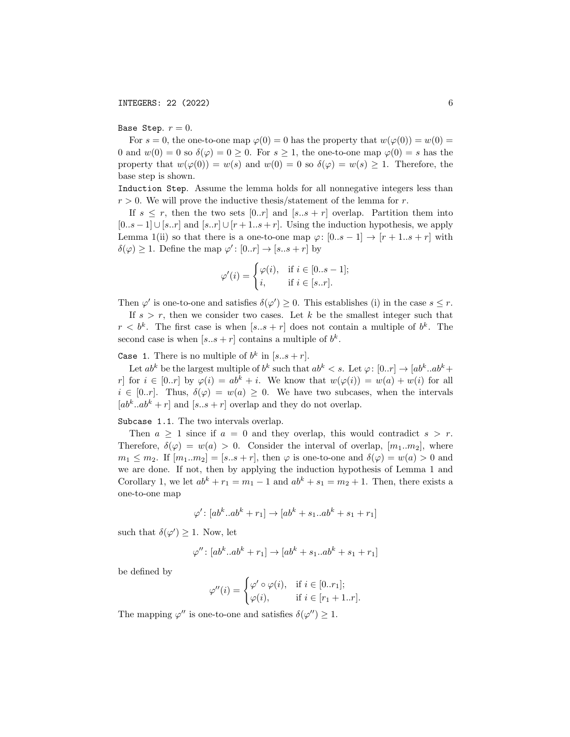## Base Step.  $r = 0$ .

For  $s = 0$ , the one-to-one map  $\varphi(0) = 0$  has the property that  $w(\varphi(0)) = w(0) = 0$ 0 and  $w(0) = 0$  so  $\delta(\varphi) = 0 \ge 0$ . For  $s \ge 1$ , the one-to-one map  $\varphi(0) = s$  has the property that  $w(\varphi(0)) = w(s)$  and  $w(0) = 0$  so  $\delta(\varphi) = w(s) \geq 1$ . Therefore, the base step is shown.

Induction Step. Assume the lemma holds for all nonnegative integers less than  $r > 0$ . We will prove the inductive thesis/statement of the lemma for r.

If  $s \leq r$ , then the two sets  $[0..r]$  and  $[s..s+r]$  overlap. Partition them into  $[0..s-1]$  ∪  $[s..r]$  and  $[s..r]$  ∪  $[r+1..s+r]$ . Using the induction hypothesis, we apply Lemma 1(ii) so that there is a one-to-one map  $\varphi: [0..s-1] \to [r+1..s+r]$  with  $\delta(\varphi) \geq 1$ . Define the map  $\varphi' : [0..r] \to [s..s+r]$  by

$$
\varphi'(i) = \begin{cases} \varphi(i), & \text{if } i \in [0..s-1]; \\ i, & \text{if } i \in [s..r]. \end{cases}
$$

Then  $\varphi'$  is one-to-one and satisfies  $\delta(\varphi') \geq 0$ . This establishes (i) in the case  $s \leq r$ .

If  $s > r$ , then we consider two cases. Let k be the smallest integer such that  $r < b^k$ . The first case is when  $[s..s+r]$  does not contain a multiple of  $b^k$ . The second case is when  $[s..s+r]$  contains a multiple of  $b^k$ .

Case 1. There is no multiple of  $b^k$  in  $[s..s+r]$ .

Let  $ab^k$  be the largest multiple of  $b^k$  such that  $ab^k < s$ . Let  $\varphi: [0..r] \to [ab^k..ab^k +$ r] for  $i \in [0..r]$  by  $\varphi(i) = ab^k + i$ . We know that  $w(\varphi(i)) = w(a) + w(i)$  for all  $i \in [0..r]$ . Thus,  $\delta(\varphi) = w(a) \geq 0$ . We have two subcases, when the intervals  $[ab^k \cdot ab^k + r]$  and  $[s \cdot s + r]$  overlap and they do not overlap.

Subcase 1.1. The two intervals overlap.

Then  $a \geq 1$  since if  $a = 0$  and they overlap, this would contradict  $s > r$ . Therefore,  $\delta(\varphi) = w(a) > 0$ . Consider the interval of overlap,  $[m_1..m_2]$ , where  $m_1 \leq m_2$ . If  $[m_1..m_2] = [s..s + r]$ , then  $\varphi$  is one-to-one and  $\delta(\varphi) = w(a) > 0$  and we are done. If not, then by applying the induction hypothesis of Lemma 1 and Corollary 1, we let  $ab^k + r_1 = m_1 - 1$  and  $ab^k + s_1 = m_2 + 1$ . Then, there exists a one-to-one map

$$
\varphi'\colon [ab^k..ab^k+r_1]\to [ab^k+s_1..ab^k+s_1+r_1]
$$

such that  $\delta(\varphi') \geq 1$ . Now, let

$$
\varphi'' : [ab^k \cdot ab^k + r_1] \to [ab^k + s_1 \cdot ab^k + s_1 + r_1]
$$

be defined by

$$
\varphi''(i) = \begin{cases} \varphi' \circ \varphi(i), & \text{if } i \in [0..r_1]; \\ \varphi(i), & \text{if } i \in [r_1 + 1..r]. \end{cases}
$$

The mapping  $\varphi''$  is one-to-one and satisfies  $\delta(\varphi'') \geq 1$ .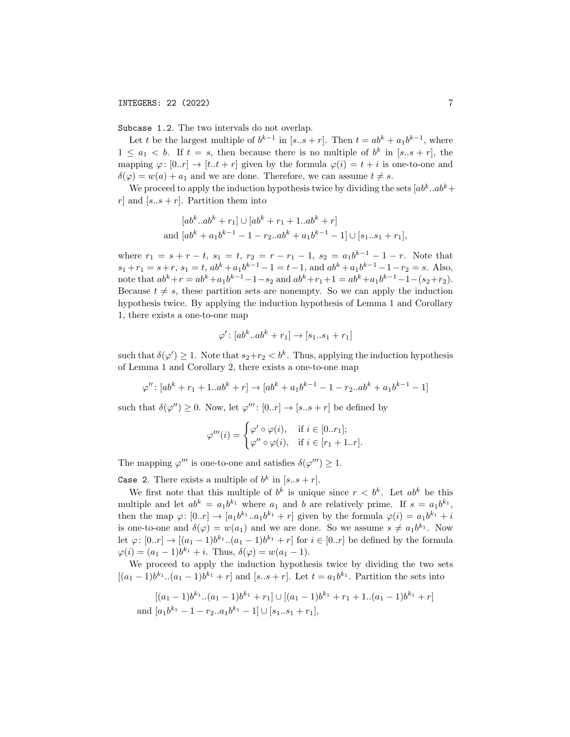Subcase 1.2. The two intervals do not overlap.

Let t be the largest multiple of  $b^{k-1}$  in  $[s..s+r]$ . Then  $t = ab^k + a_1b^{k-1}$ , where  $1 \leq a_1 < b$ . If  $t = s$ , then because there is no multiple of  $b^k$  in  $[s..s+r]$ , the mapping  $\varphi: [0..r] \to [t..t+r]$  given by the formula  $\varphi(i) = t + i$  is one-to-one and  $\delta(\varphi) = w(a) + a_1$  and we are done. Therefore, we can assume  $t \neq s$ .

We proceed to apply the induction hypothesis twice by dividing the sets  $[ab^k, ab^k +]$ r] and  $[s..s+r]$ . Partition them into

$$
[ab^k \tcdot ab^k + r_1] \cup [ab^k + r_1 + 1 \tcdot ab^k + r]
$$
  
and 
$$
[ab^k + a_1b^{k-1} - 1 - r_2 \tcdot ab^k + a_1b^{k-1} - 1] \cup [s_1 \tcdot s_1 + r_1],
$$

where  $r_1 = s + r - t$ ,  $s_1 = t$ ,  $r_2 = r - r_1 - 1$ ,  $s_2 = a_1 b^{k-1} - 1 - r$ . Note that  $s_1 + r_1 = s + r$ ,  $s_1 = t$ ,  $ab^k + a_1b^{k-1} - 1 = t - 1$ , and  $ab^k + a_1b^{k-1} - 1 - r_2 = s$ . Also, note that  $ab^{k}+r = ab^{k}+a_{1}b^{k-1}-1-s_{2}$  and  $ab^{k}+r_{1}+1 = ab^{k}+a_{1}b^{k-1}-1-(s_{2}+r_{2}).$ Because  $t \neq s$ , these partition sets are nonempty. So we can apply the induction hypothesis twice. By applying the induction hypothesis of Lemma 1 and Corollary 1, there exists a one-to-one map

$$
\varphi'\colon [ab^k..ab^k+r_1]\to [s_1..s_1+r_1]
$$

such that  $\delta(\varphi') \geq 1$ . Note that  $s_2 + r_2 < b^k$ . Thus, applying the induction hypothesis of Lemma 1 and Corollary 2, there exists a one-to-one map

$$
\varphi'' : [ab^k + r_1 + 1...ab^k + r] \to [ab^k + a_1b^{k-1} - 1 - r_2...ab^k + a_1b^{k-1} - 1]
$$

such that  $\delta(\varphi'') \geq 0$ . Now, let  $\varphi''' : [0..r] \to [s..s+r]$  be defined by

$$
\varphi'''(i) = \begin{cases} \varphi' \circ \varphi(i), & \text{if } i \in [0..r_1]; \\ \varphi'' \circ \varphi(i), & \text{if } i \in [r_1 + 1..r]. \end{cases}
$$

The mapping  $\varphi'''$  is one-to-one and satisfies  $\delta(\varphi''') \geq 1$ .

Case 2. There exists a multiple of  $b^k$  in  $[s..s+r]$ .

We first note that this multiple of  $b^k$  is unique since  $r < b^k$ . Let  $ab^k$  be this multiple and let  $ab^k = a_1 b^{k_1}$  where  $a_1$  and b are relatively prime. If  $s = a_1 b^{k_1}$ , then the map  $\varphi: [0..r] \to [a_1 b^{k_1}..a_1 b^{k_1} + r]$  given by the formula  $\varphi(i) = a_1 b^{k_1} + i$ is one-to-one and  $\delta(\varphi) = w(a_1)$  and we are done. So we assume  $s \neq a_1b^{k_1}$ . Now let  $\varphi: [0..r] \to [(a_1-1)b^{k_1}...(a_1-1)b^{k_1}+r]$  for  $i \in [0..r]$  be defined by the formula  $\varphi(i) = (a_1 - 1)b^{k_1} + i$ . Thus,  $\delta(\varphi) = w(a_1 - 1)$ .

We proceed to apply the induction hypothesis twice by dividing the two sets  $[(a_1-1)b^{k_1}...(a_1-1)b^{k_1}+r]$  and  $[s..s+r]$ . Let  $t = a_1b^{k_1}$ . Partition the sets into

$$
[(a_1 - 1)b^{k_1}...(a_1 - 1)b^{k_1} + r_1] \cup [(a_1 - 1)b^{k_1} + r_1 + 1...(a_1 - 1)b^{k_1} + r]
$$
  
and  $[a_1b^{k_1} - 1 - r_2..a_1b^{k_1} - 1] \cup [s_1..s_1 + r_1],$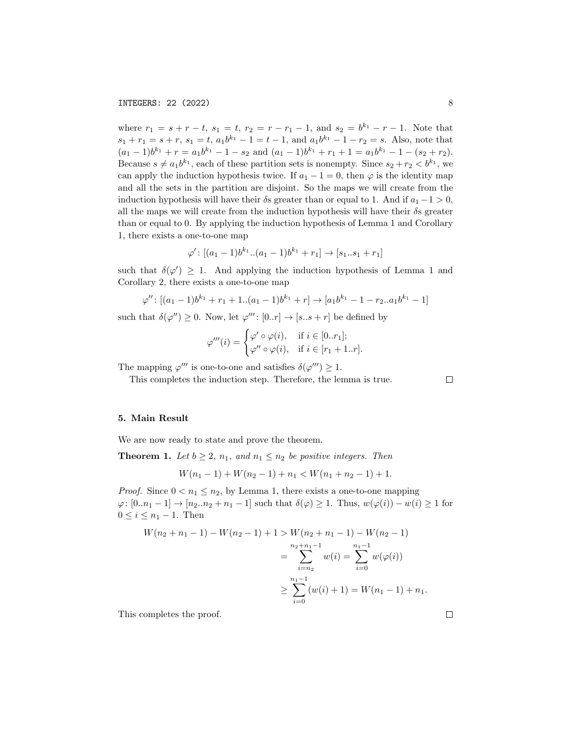where  $r_1 = s + r - t$ ,  $s_1 = t$ ,  $r_2 = r - r_1 - 1$ , and  $s_2 = b^{k_1} - r - 1$ . Note that  $s_1 + r_1 = s + r$ ,  $s_1 = t$ ,  $a_1 b^{k_1} - 1 = t - 1$ , and  $a_1 b^{k_1} - 1 - r_2 = s$ . Also, note that  $(a_1-1)b^{k_1} + r = a_1b^{k_1} - 1 - s_2$  and  $(a_1-1)b^{k_1} + r_1 + 1 = a_1b^{k_1} - 1 - (s_2+r_2)$ . Because  $s \neq a_1 b^{k_1}$ , each of these partition sets is nonempty. Since  $s_2 + r_2 < b^{k_1}$ , we can apply the induction hypothesis twice. If  $a_1 - 1 = 0$ , then  $\varphi$  is the identity map and all the sets in the partition are disjoint. So the maps we will create from the induction hypothesis will have their  $\delta s$  greater than or equal to 1. And if  $a_1 - 1 > 0$ , all the maps we will create from the induction hypothesis will have their  $\delta s$  greater than or equal to 0. By applying the induction hypothesis of Lemma 1 and Corollary 1, there exists a one-to-one map

$$
\varphi' : [(a_1 - 1)b^{k_1}..(a_1 - 1)b^{k_1} + r_1] \to [s_1..s_1 + r_1]
$$

such that  $\delta(\varphi') \geq 1$ . And applying the induction hypothesis of Lemma 1 and Corollary 2, there exists a one-to-one map

$$
\varphi'' : [(a_1 - 1)b^{k_1} + r_1 + 1..(a_1 - 1)b^{k_1} + r] \to [a_1b^{k_1} - 1 - r_2..a_1b^{k_1} - 1]
$$

such that  $\delta(\varphi'') \geq 0$ . Now, let  $\varphi''' : [0..r] \to [s..s+r]$  be defined by

$$
\varphi'''(i) = \begin{cases} \varphi' \circ \varphi(i), & \text{if } i \in [0..r_1]; \\ \varphi'' \circ \varphi(i), & \text{if } i \in [r_1 + 1..r]. \end{cases}
$$

The mapping  $\varphi'''$  is one-to-one and satisfies  $\delta(\varphi''') \geq 1$ .

This completes the induction step. Therefore, the lemma is true.

 $\Box$ 

#### 5. Main Result

We are now ready to state and prove the theorem.

**Theorem 1.** Let  $b \geq 2$ ,  $n_1$ , and  $n_1 \leq n_2$  be positive integers. Then

$$
W(n_1 - 1) + W(n_2 - 1) + n_1 < W(n_1 + n_2 - 1) + 1.
$$

*Proof.* Since  $0 < n_1 \le n_2$ , by Lemma 1, there exists a one-to-one mapping  $\varphi: [0..n_1-1] \to [n_2..n_2+n_1-1]$  such that  $\delta(\varphi) \geq 1$ . Thus,  $w(\varphi(i)) - w(i) \geq 1$  for  $0 \leq i \leq n_1 - 1$ . Then

$$
W(n_2 + n_1 - 1) - W(n_2 - 1) + 1 > W(n_2 + n_1 - 1) - W(n_2 - 1)
$$
  
= 
$$
\sum_{i=n_2}^{n_2+n_1-1} w(i) = \sum_{i=0}^{n_1-1} w(\varphi(i))
$$
  

$$
\geq \sum_{i=0}^{n_1-1} (w(i) + 1) = W(n_1 - 1) + n_1.
$$

This completes the proof.